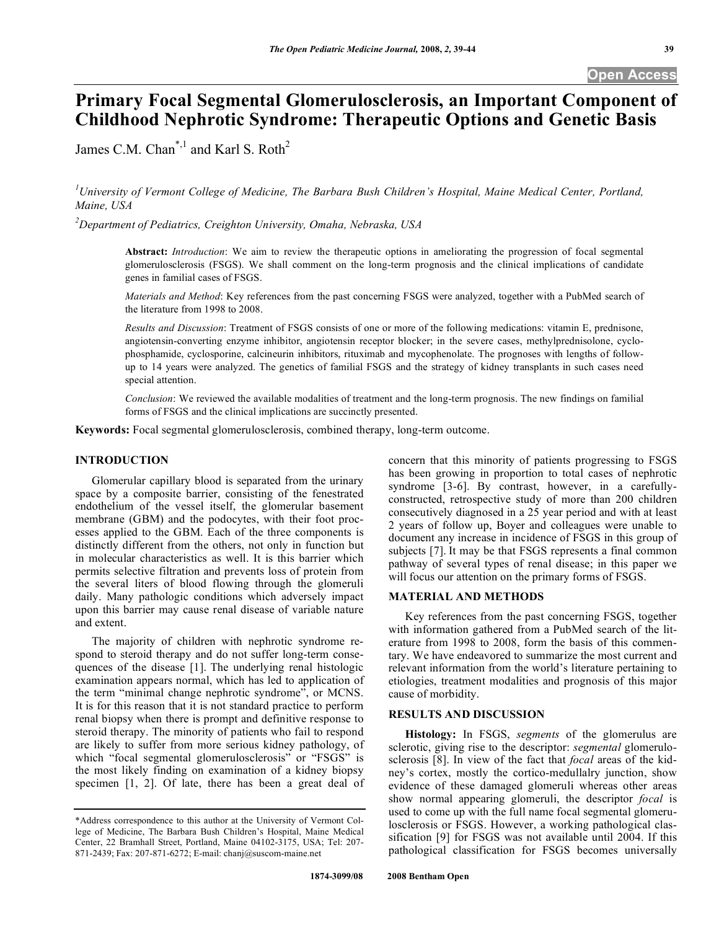# **Primary Focal Segmental Glomerulosclerosis, an Important Component of Childhood Nephrotic Syndrome: Therapeutic Options and Genetic Basis**

James C.M. Chan<sup>\*,1</sup> and Karl S. Roth<sup>2</sup>

<sup>1</sup>University of Vermont College of Medicine, The Barbara Bush Children's Hospital, Maine Medical Center, Portland, *Maine, USA* 

*2 Department of Pediatrics, Creighton University, Omaha, Nebraska, USA* 

**Abstract:** *Introduction*: We aim to review the therapeutic options in ameliorating the progression of focal segmental glomerulosclerosis (FSGS). We shall comment on the long-term prognosis and the clinical implications of candidate genes in familial cases of FSGS.

*Materials and Method*: Key references from the past concerning FSGS were analyzed, together with a PubMed search of the literature from 1998 to 2008.

*Results and Discussion*: Treatment of FSGS consists of one or more of the following medications: vitamin E, prednisone, angiotensin-converting enzyme inhibitor, angiotensin receptor blocker; in the severe cases, methylprednisolone, cyclophosphamide, cyclosporine, calcineurin inhibitors, rituximab and mycophenolate. The prognoses with lengths of followup to 14 years were analyzed. The genetics of familial FSGS and the strategy of kidney transplants in such cases need special attention.

*Conclusion*: We reviewed the available modalities of treatment and the long-term prognosis. The new findings on familial forms of FSGS and the clinical implications are succinctly presented.

**Keywords:** Focal segmental glomerulosclerosis, combined therapy, long-term outcome.

## **INTRODUCTION**

 Glomerular capillary blood is separated from the urinary space by a composite barrier, consisting of the fenestrated endothelium of the vessel itself, the glomerular basement membrane (GBM) and the podocytes, with their foot processes applied to the GBM. Each of the three components is distinctly different from the others, not only in function but in molecular characteristics as well. It is this barrier which permits selective filtration and prevents loss of protein from the several liters of blood flowing through the glomeruli daily. Many pathologic conditions which adversely impact upon this barrier may cause renal disease of variable nature and extent.

 The majority of children with nephrotic syndrome respond to steroid therapy and do not suffer long-term consequences of the disease [1]. The underlying renal histologic examination appears normal, which has led to application of the term "minimal change nephrotic syndrome", or MCNS. It is for this reason that it is not standard practice to perform renal biopsy when there is prompt and definitive response to steroid therapy. The minority of patients who fail to respond are likely to suffer from more serious kidney pathology, of which "focal segmental glomerulosclerosis" or "FSGS" is the most likely finding on examination of a kidney biopsy specimen [1, 2]. Of late, there has been a great deal of concern that this minority of patients progressing to FSGS has been growing in proportion to total cases of nephrotic syndrome [3-6]. By contrast, however, in a carefullyconstructed, retrospective study of more than 200 children consecutively diagnosed in a 25 year period and with at least 2 years of follow up, Boyer and colleagues were unable to document any increase in incidence of FSGS in this group of subjects [7]. It may be that FSGS represents a final common pathway of several types of renal disease; in this paper we will focus our attention on the primary forms of FSGS.

## **MATERIAL AND METHODS**

Key references from the past concerning FSGS, together with information gathered from a PubMed search of the literature from 1998 to 2008, form the basis of this commentary. We have endeavored to summarize the most current and relevant information from the world's literature pertaining to etiologies, treatment modalities and prognosis of this major cause of morbidity.

# **RESULTS AND DISCUSSION**

 **Histology:** In FSGS, *segments* of the glomerulus are sclerotic, giving rise to the descriptor: *segmental* glomerulosclerosis [8]. In view of the fact that *focal* areas of the kidney's cortex, mostly the cortico-medullalry junction, show evidence of these damaged glomeruli whereas other areas show normal appearing glomeruli, the descriptor *focal* is used to come up with the full name focal segmental glomerulosclerosis or FSGS. However, a working pathological classification [9] for FSGS was not available until 2004. If this pathological classification for FSGS becomes universally

<sup>\*</sup>Address correspondence to this author at the University of Vermont College of Medicine, The Barbara Bush Children's Hospital, Maine Medical Center, 22 Bramhall Street, Portland, Maine 04102-3175, USA; Tel: 207- 871-2439; Fax: 207-871-6272; E-mail: chanj@suscom-maine.net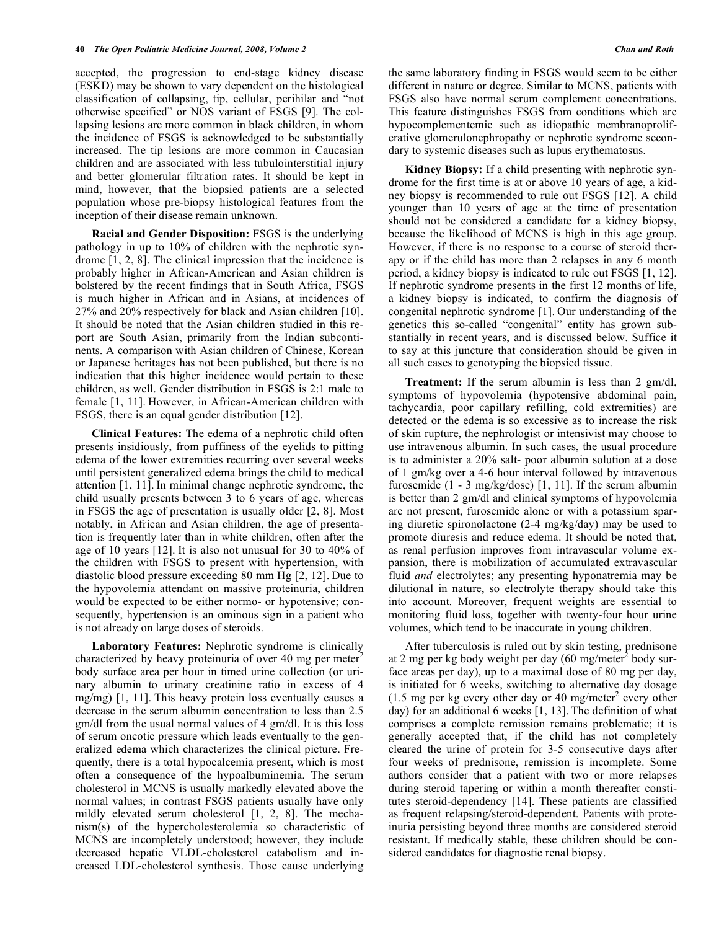accepted, the progression to end-stage kidney disease (ESKD) may be shown to vary dependent on the histological classification of collapsing, tip, cellular, perihilar and "not otherwise specified" or NOS variant of FSGS [9]. The collapsing lesions are more common in black children, in whom the incidence of FSGS is acknowledged to be substantially increased. The tip lesions are more common in Caucasian children and are associated with less tubulointerstitial injury and better glomerular filtration rates. It should be kept in mind, however, that the biopsied patients are a selected population whose pre-biopsy histological features from the inception of their disease remain unknown.

 **Racial and Gender Disposition:** FSGS is the underlying pathology in up to 10% of children with the nephrotic syndrome [1, 2, 8]. The clinical impression that the incidence is probably higher in African-American and Asian children is bolstered by the recent findings that in South Africa, FSGS is much higher in African and in Asians, at incidences of 27% and 20% respectively for black and Asian children [10]. It should be noted that the Asian children studied in this report are South Asian, primarily from the Indian subcontinents. A comparison with Asian children of Chinese, Korean or Japanese heritages has not been published, but there is no indication that this higher incidence would pertain to these children, as well. Gender distribution in FSGS is 2:1 male to female [1, 11]. However, in African-American children with FSGS, there is an equal gender distribution [12].

 **Clinical Features:** The edema of a nephrotic child often presents insidiously, from puffiness of the eyelids to pitting edema of the lower extremities recurring over several weeks until persistent generalized edema brings the child to medical attention [1, 11]. In minimal change nephrotic syndrome, the child usually presents between 3 to 6 years of age, whereas in FSGS the age of presentation is usually older [2, 8]. Most notably, in African and Asian children, the age of presentation is frequently later than in white children, often after the age of 10 years [12]. It is also not unusual for 30 to 40% of the children with FSGS to present with hypertension, with diastolic blood pressure exceeding 80 mm Hg [2, 12]. Due to the hypovolemia attendant on massive proteinuria, children would be expected to be either normo- or hypotensive; consequently, hypertension is an ominous sign in a patient who is not already on large doses of steroids.

 **Laboratory Features:** Nephrotic syndrome is clinically characterized by heavy proteinuria of over 40 mg per meter<sup>2</sup> body surface area per hour in timed urine collection (or urinary albumin to urinary creatinine ratio in excess of 4 mg/mg) [1, 11]. This heavy protein loss eventually causes a decrease in the serum albumin concentration to less than 2.5 gm/dl from the usual normal values of 4 gm/dl. It is this loss of serum oncotic pressure which leads eventually to the generalized edema which characterizes the clinical picture. Frequently, there is a total hypocalcemia present, which is most often a consequence of the hypoalbuminemia. The serum cholesterol in MCNS is usually markedly elevated above the normal values; in contrast FSGS patients usually have only mildly elevated serum cholesterol [1, 2, 8]. The mechanism(s) of the hypercholesterolemia so characteristic of MCNS are incompletely understood; however, they include decreased hepatic VLDL-cholesterol catabolism and increased LDL-cholesterol synthesis. Those cause underlying

the same laboratory finding in FSGS would seem to be either different in nature or degree. Similar to MCNS, patients with FSGS also have normal serum complement concentrations. This feature distinguishes FSGS from conditions which are hypocomplementemic such as idiopathic membranoproliferative glomerulonephropathy or nephrotic syndrome secondary to systemic diseases such as lupus erythematosus.

 **Kidney Biopsy:** If a child presenting with nephrotic syndrome for the first time is at or above 10 years of age, a kidney biopsy is recommended to rule out FSGS [12]. A child younger than 10 years of age at the time of presentation should not be considered a candidate for a kidney biopsy, because the likelihood of MCNS is high in this age group. However, if there is no response to a course of steroid therapy or if the child has more than 2 relapses in any 6 month period, a kidney biopsy is indicated to rule out FSGS [1, 12]. If nephrotic syndrome presents in the first 12 months of life, a kidney biopsy is indicated, to confirm the diagnosis of congenital nephrotic syndrome [1]. Our understanding of the genetics this so-called "congenital" entity has grown substantially in recent years, and is discussed below. Suffice it to say at this juncture that consideration should be given in all such cases to genotyping the biopsied tissue.

 **Treatment:** If the serum albumin is less than 2 gm/dl, symptoms of hypovolemia (hypotensive abdominal pain, tachycardia, poor capillary refilling, cold extremities) are detected or the edema is so excessive as to increase the risk of skin rupture, the nephrologist or intensivist may choose to use intravenous albumin. In such cases, the usual procedure is to administer a 20% salt- poor albumin solution at a dose of 1 gm/kg over a 4-6 hour interval followed by intravenous furosemide (1 - 3 mg/kg/dose) [1, 11]. If the serum albumin is better than 2 gm/dl and clinical symptoms of hypovolemia are not present, furosemide alone or with a potassium sparing diuretic spironolactone (2-4 mg/kg/day) may be used to promote diuresis and reduce edema. It should be noted that, as renal perfusion improves from intravascular volume expansion, there is mobilization of accumulated extravascular fluid *and* electrolytes; any presenting hyponatremia may be dilutional in nature, so electrolyte therapy should take this into account. Moreover, frequent weights are essential to monitoring fluid loss, together with twenty-four hour urine volumes, which tend to be inaccurate in young children.

 After tuberculosis is ruled out by skin testing, prednisone at 2 mg per kg body weight per day  $(60 \text{ mg/meter}^2)$  body surface areas per day), up to a maximal dose of 80 mg per day, is initiated for 6 weeks, switching to alternative day dosage  $(1.5 \text{ mg per kg every other day or } 40 \text{ mg/meter}^2 \text{ every other})$ day) for an additional 6 weeks [1, 13]. The definition of what comprises a complete remission remains problematic; it is generally accepted that, if the child has not completely cleared the urine of protein for 3-5 consecutive days after four weeks of prednisone, remission is incomplete. Some authors consider that a patient with two or more relapses during steroid tapering or within a month thereafter constitutes steroid-dependency [14]. These patients are classified as frequent relapsing/steroid-dependent. Patients with proteinuria persisting beyond three months are considered steroid resistant. If medically stable, these children should be considered candidates for diagnostic renal biopsy.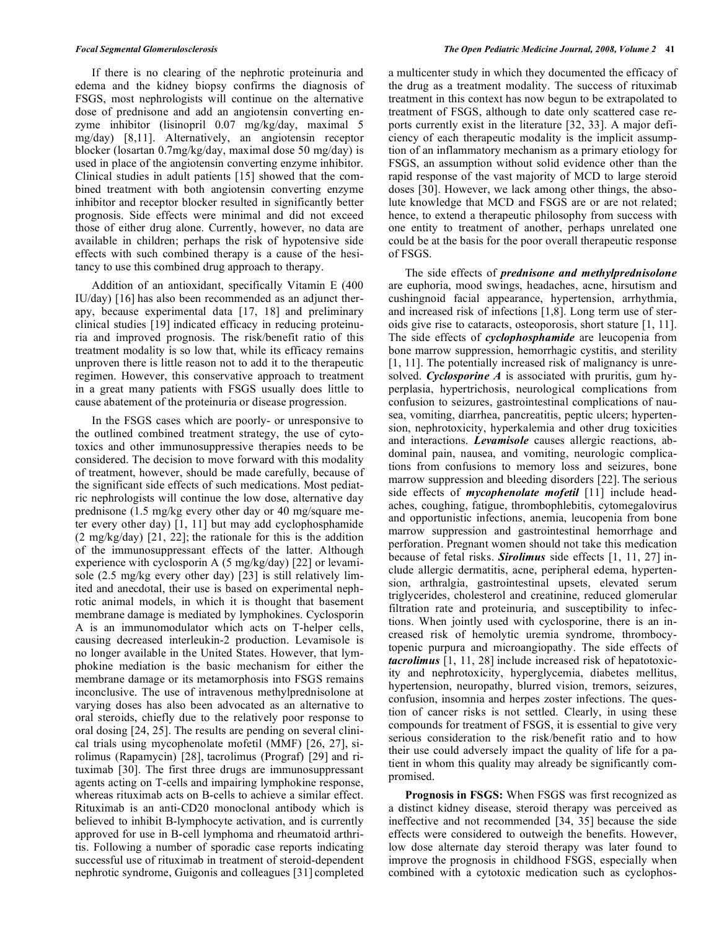If there is no clearing of the nephrotic proteinuria and edema and the kidney biopsy confirms the diagnosis of FSGS, most nephrologists will continue on the alternative dose of prednisone and add an angiotensin converting enzyme inhibitor (lisinopril 0.07 mg/kg/day, maximal 5 mg/day) [8,11]. Alternatively, an angiotensin receptor blocker (losartan 0.7mg/kg/day, maximal dose 50 mg/day) is used in place of the angiotensin converting enzyme inhibitor. Clinical studies in adult patients [15] showed that the combined treatment with both angiotensin converting enzyme inhibitor and receptor blocker resulted in significantly better prognosis. Side effects were minimal and did not exceed those of either drug alone. Currently, however, no data are available in children; perhaps the risk of hypotensive side effects with such combined therapy is a cause of the hesitancy to use this combined drug approach to therapy.

 Addition of an antioxidant, specifically Vitamin E (400 IU/day) [16] has also been recommended as an adjunct therapy, because experimental data [17, 18] and preliminary clinical studies [19] indicated efficacy in reducing proteinuria and improved prognosis. The risk/benefit ratio of this treatment modality is so low that, while its efficacy remains unproven there is little reason not to add it to the therapeutic regimen. However, this conservative approach to treatment in a great many patients with FSGS usually does little to cause abatement of the proteinuria or disease progression.

 In the FSGS cases which are poorly- or unresponsive to the outlined combined treatment strategy, the use of cytotoxics and other immunosuppressive therapies needs to be considered. The decision to move forward with this modality of treatment, however, should be made carefully, because of the significant side effects of such medications. Most pediatric nephrologists will continue the low dose, alternative day prednisone (1.5 mg/kg every other day or 40 mg/square meter every other day) [1, 11] but may add cyclophosphamide (2 mg/kg/day) [21, 22]; the rationale for this is the addition of the immunosuppressant effects of the latter. Although experience with cyclosporin A (5 mg/kg/day) [22] or levamisole (2.5 mg/kg every other day) [23] is still relatively limited and anecdotal, their use is based on experimental nephrotic animal models, in which it is thought that basement membrane damage is mediated by lymphokines. Cyclosporin A is an immunomodulator which acts on T-helper cells, causing decreased interleukin-2 production. Levamisole is no longer available in the United States. However, that lymphokine mediation is the basic mechanism for either the membrane damage or its metamorphosis into FSGS remains inconclusive. The use of intravenous methylprednisolone at varying doses has also been advocated as an alternative to oral steroids, chiefly due to the relatively poor response to oral dosing [24, 25]. The results are pending on several clinical trials using mycophenolate mofetil (MMF) [26, 27], sirolimus (Rapamycin) [28], tacrolimus (Prograf) [29] and rituximab [30]. The first three drugs are immunosuppressant agents acting on T-cells and impairing lymphokine response, whereas rituximab acts on B-cells to achieve a similar effect. Rituximab is an anti-CD20 monoclonal antibody which is believed to inhibit B-lymphocyte activation, and is currently approved for use in B-cell lymphoma and rheumatoid arthritis. Following a number of sporadic case reports indicating successful use of rituximab in treatment of steroid-dependent nephrotic syndrome, Guigonis and colleagues [31] completed

a multicenter study in which they documented the efficacy of the drug as a treatment modality. The success of rituximab treatment in this context has now begun to be extrapolated to treatment of FSGS, although to date only scattered case reports currently exist in the literature [32, 33]. A major deficiency of each therapeutic modality is the implicit assumption of an inflammatory mechanism as a primary etiology for FSGS, an assumption without solid evidence other than the rapid response of the vast majority of MCD to large steroid doses [30]. However, we lack among other things, the absolute knowledge that MCD and FSGS are or are not related; hence, to extend a therapeutic philosophy from success with one entity to treatment of another, perhaps unrelated one could be at the basis for the poor overall therapeutic response of FSGS.

 The side effects of *prednisone and methylprednisolone* are euphoria, mood swings, headaches, acne, hirsutism and cushingnoid facial appearance, hypertension, arrhythmia, and increased risk of infections [1,8]. Long term use of steroids give rise to cataracts, osteoporosis, short stature [1, 11]. The side effects of *cyclophosphamide* are leucopenia from bone marrow suppression, hemorrhagic cystitis, and sterility [1, 11]. The potentially increased risk of malignancy is unresolved. *Cyclosporine A* is associated with pruritis, gum hyperplasia, hypertrichosis, neurological complications from confusion to seizures, gastrointestinal complications of nausea, vomiting, diarrhea, pancreatitis, peptic ulcers; hypertension, nephrotoxicity, hyperkalemia and other drug toxicities and interactions. *Levamisole* causes allergic reactions, abdominal pain, nausea, and vomiting, neurologic complications from confusions to memory loss and seizures, bone marrow suppression and bleeding disorders [22]. The serious side effects of *mycophenolate mofetil* [11] include headaches, coughing, fatigue, thrombophlebitis, cytomegalovirus and opportunistic infections, anemia, leucopenia from bone marrow suppression and gastrointestinal hemorrhage and perforation. Pregnant women should not take this medication because of fetal risks. *Sirolimus* side effects [1, 11, 27] include allergic dermatitis, acne, peripheral edema, hypertension, arthralgia, gastrointestinal upsets, elevated serum triglycerides, cholesterol and creatinine, reduced glomerular filtration rate and proteinuria, and susceptibility to infections. When jointly used with cyclosporine, there is an increased risk of hemolytic uremia syndrome, thrombocytopenic purpura and microangiopathy. The side effects of *tacrolimus* [1, 11, 28] include increased risk of hepatotoxicity and nephrotoxicity, hyperglycemia, diabetes mellitus, hypertension, neuropathy, blurred vision, tremors, seizures, confusion, insomnia and herpes zoster infections. The question of cancer risks is not settled. Clearly, in using these compounds for treatment of FSGS, it is essential to give very serious consideration to the risk/benefit ratio and to how their use could adversely impact the quality of life for a patient in whom this quality may already be significantly compromised.

 **Prognosis in FSGS:** When FSGS was first recognized as a distinct kidney disease, steroid therapy was perceived as ineffective and not recommended [34, 35] because the side effects were considered to outweigh the benefits. However, low dose alternate day steroid therapy was later found to improve the prognosis in childhood FSGS, especially when combined with a cytotoxic medication such as cyclophos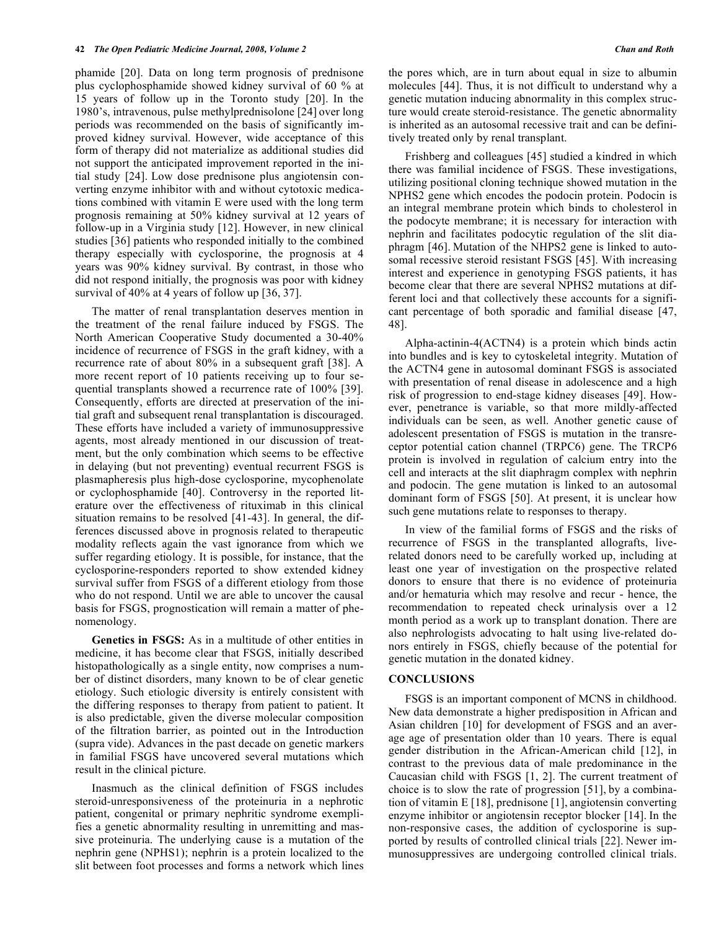phamide [20]. Data on long term prognosis of prednisone plus cyclophosphamide showed kidney survival of 60 % at 15 years of follow up in the Toronto study [20]. In the 1980's, intravenous, pulse methylprednisolone [24] over long periods was recommended on the basis of significantly improved kidney survival. However, wide acceptance of this form of therapy did not materialize as additional studies did not support the anticipated improvement reported in the initial study [24]. Low dose prednisone plus angiotensin converting enzyme inhibitor with and without cytotoxic medications combined with vitamin E were used with the long term prognosis remaining at 50% kidney survival at 12 years of follow-up in a Virginia study [12]. However, in new clinical studies [36] patients who responded initially to the combined therapy especially with cyclosporine, the prognosis at 4 years was 90% kidney survival. By contrast, in those who did not respond initially, the prognosis was poor with kidney survival of 40% at 4 years of follow up [36, 37].

 The matter of renal transplantation deserves mention in the treatment of the renal failure induced by FSGS. The North American Cooperative Study documented a 30-40% incidence of recurrence of FSGS in the graft kidney, with a recurrence rate of about 80% in a subsequent graft [38]. A more recent report of 10 patients receiving up to four sequential transplants showed a recurrence rate of 100% [39]. Consequently, efforts are directed at preservation of the initial graft and subsequent renal transplantation is discouraged. These efforts have included a variety of immunosuppressive agents, most already mentioned in our discussion of treatment, but the only combination which seems to be effective in delaying (but not preventing) eventual recurrent FSGS is plasmapheresis plus high-dose cyclosporine, mycophenolate or cyclophosphamide [40]. Controversy in the reported literature over the effectiveness of rituximab in this clinical situation remains to be resolved [41-43]. In general, the differences discussed above in prognosis related to therapeutic modality reflects again the vast ignorance from which we suffer regarding etiology. It is possible, for instance, that the cyclosporine-responders reported to show extended kidney survival suffer from FSGS of a different etiology from those who do not respond. Until we are able to uncover the causal basis for FSGS, prognostication will remain a matter of phenomenology.

 **Genetics in FSGS:** As in a multitude of other entities in medicine, it has become clear that FSGS, initially described histopathologically as a single entity, now comprises a number of distinct disorders, many known to be of clear genetic etiology. Such etiologic diversity is entirely consistent with the differing responses to therapy from patient to patient. It is also predictable, given the diverse molecular composition of the filtration barrier, as pointed out in the Introduction (supra vide). Advances in the past decade on genetic markers in familial FSGS have uncovered several mutations which result in the clinical picture.

 Inasmuch as the clinical definition of FSGS includes steroid-unresponsiveness of the proteinuria in a nephrotic patient, congenital or primary nephritic syndrome exemplifies a genetic abnormality resulting in unremitting and massive proteinuria. The underlying cause is a mutation of the nephrin gene (NPHS1); nephrin is a protein localized to the slit between foot processes and forms a network which lines the pores which, are in turn about equal in size to albumin molecules [44]. Thus, it is not difficult to understand why a genetic mutation inducing abnormality in this complex structure would create steroid-resistance. The genetic abnormality is inherited as an autosomal recessive trait and can be definitively treated only by renal transplant.

 Frishberg and colleagues [45] studied a kindred in which there was familial incidence of FSGS. These investigations, utilizing positional cloning technique showed mutation in the NPHS2 gene which encodes the podocin protein. Podocin is an integral membrane protein which binds to cholesterol in the podocyte membrane; it is necessary for interaction with nephrin and facilitates podocytic regulation of the slit diaphragm [46]. Mutation of the NHPS2 gene is linked to autosomal recessive steroid resistant FSGS [45]. With increasing interest and experience in genotyping FSGS patients, it has become clear that there are several NPHS2 mutations at different loci and that collectively these accounts for a significant percentage of both sporadic and familial disease [47, 48].

 Alpha-actinin-4(ACTN4) is a protein which binds actin into bundles and is key to cytoskeletal integrity. Mutation of the ACTN4 gene in autosomal dominant FSGS is associated with presentation of renal disease in adolescence and a high risk of progression to end-stage kidney diseases [49]. However, penetrance is variable, so that more mildly-affected individuals can be seen, as well. Another genetic cause of adolescent presentation of FSGS is mutation in the transreceptor potential cation channel (TRPC6) gene. The TRCP6 protein is involved in regulation of calcium entry into the cell and interacts at the slit diaphragm complex with nephrin and podocin. The gene mutation is linked to an autosomal dominant form of FSGS [50]. At present, it is unclear how such gene mutations relate to responses to therapy.

 In view of the familial forms of FSGS and the risks of recurrence of FSGS in the transplanted allografts, liverelated donors need to be carefully worked up, including at least one year of investigation on the prospective related donors to ensure that there is no evidence of proteinuria and/or hematuria which may resolve and recur - hence, the recommendation to repeated check urinalysis over a 12 month period as a work up to transplant donation. There are also nephrologists advocating to halt using live-related donors entirely in FSGS, chiefly because of the potential for genetic mutation in the donated kidney.

### **CONCLUSIONS**

 FSGS is an important component of MCNS in childhood. New data demonstrate a higher predisposition in African and Asian children [10] for development of FSGS and an average age of presentation older than 10 years. There is equal gender distribution in the African-American child [12], in contrast to the previous data of male predominance in the Caucasian child with FSGS [1, 2]. The current treatment of choice is to slow the rate of progression [51], by a combination of vitamin E [18], prednisone [1], angiotensin converting enzyme inhibitor or angiotensin receptor blocker [14]. In the non-responsive cases, the addition of cyclosporine is supported by results of controlled clinical trials [22]. Newer immunosuppressives are undergoing controlled clinical trials.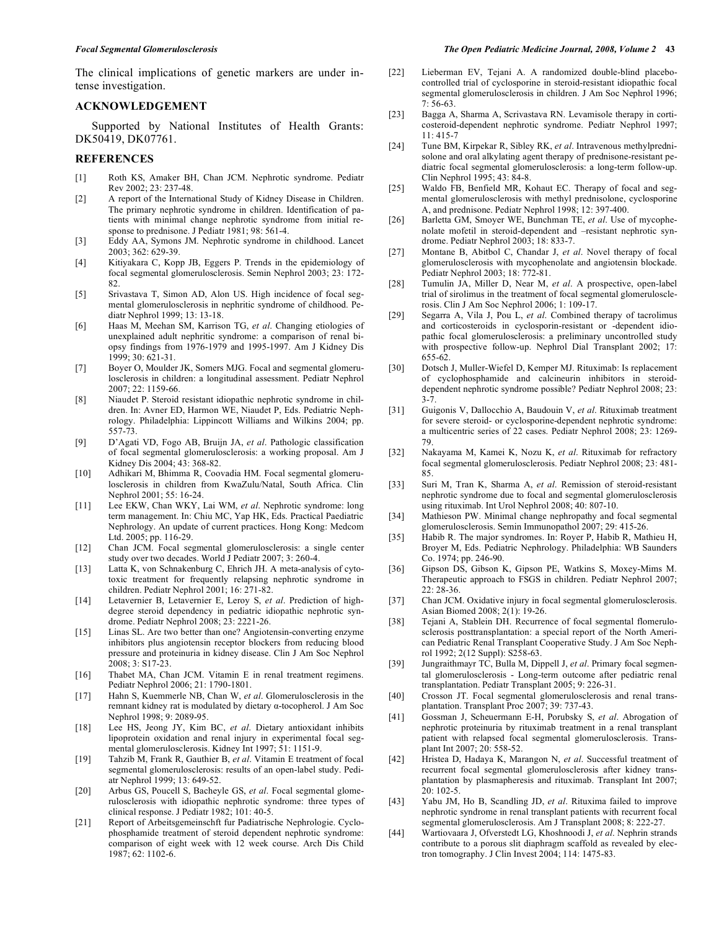The clinical implications of genetic markers are under intense investigation.

#### **ACKNOWLEDGEMENT**

 Supported by National Institutes of Health Grants: DK50419, DK07761.

#### **REFERENCES**

- [1] Roth KS, Amaker BH, Chan JCM. Nephrotic syndrome. Pediatr Rev 2002; 23: 237-48.
- [2] A report of the International Study of Kidney Disease in Children. The primary nephrotic syndrome in children. Identification of patients with minimal change nephrotic syndrome from initial response to prednisone. J Pediatr 1981; 98: 561-4.
- [3] Eddy AA, Symons JM. Nephrotic syndrome in childhood. Lancet 2003; 362: 629-39.
- [4] Kitiyakara C, Kopp JB, Eggers P. Trends in the epidemiology of focal segmental glomerulosclerosis. Semin Nephrol 2003; 23: 172- 82.
- [5] Srivastava T, Simon AD, Alon US. High incidence of focal segmental glomerulosclerosis in nephritic syndrome of childhood. Pediatr Nephrol 1999; 13: 13-18.
- [6] Haas M, Meehan SM, Karrison TG, *et al*. Changing etiologies of unexplained adult nephritic syndrome: a comparison of renal biopsy findings from 1976-1979 and 1995-1997. Am J Kidney Dis 1999; 30: 621-31.
- [7] Boyer O, Moulder JK, Somers MJG. Focal and segmental glomerulosclerosis in children: a longitudinal assessment. Pediatr Nephrol 2007; 22: 1159-66.
- [8] Niaudet P. Steroid resistant idiopathic nephrotic syndrome in children. In: Avner ED, Harmon WE, Niaudet P, Eds. Pediatric Nephrology. Philadelphia: Lippincott Williams and Wilkins 2004; pp. 557-73.
- [9] D'Agati VD, Fogo AB, Bruijn JA, *et al*. Pathologic classification of focal segmental glomerulosclerosis: a working proposal. Am J Kidney Dis 2004; 43: 368-82.
- [10] Adhikari M, Bhimma R, Coovadia HM. Focal segmental glomerulosclerosis in children from KwaZulu/Natal, South Africa. Clin Nephrol 2001; 55: 16-24.
- [11] Lee EKW, Chan WKY, Lai WM, *et al*. Nephrotic syndrome: long term management. In: Chiu MC, Yap HK, Eds. Practical Paediatric Nephrology. An update of current practices. Hong Kong: Medcom Ltd. 2005; pp. 116-29.
- [12] Chan JCM. Focal segmental glomerulosclerosis: a single center study over two decades. World J Pediatr 2007; 3: 260-4.
- [13] Latta K, von Schnakenburg C, Ehrich JH. A meta-analysis of cytotoxic treatment for frequently relapsing nephrotic syndrome in children. Pediatr Nephrol 2001; 16: 271-82.
- [14] Letavernier B, Letavernier E, Leroy S, *et al*. Prediction of highdegree steroid dependency in pediatric idiopathic nephrotic syndrome. Pediatr Nephrol 2008; 23: 2221-26.
- [15] Linas SL. Are two better than one? Angiotensin-converting enzyme inhibitors plus angiotensin receptor blockers from reducing blood pressure and proteinuria in kidney disease. Clin J Am Soc Nephrol 2008; 3: S17-23.
- [16] Thabet MA, Chan JCM. Vitamin E in renal treatment regimens. Pediatr Nephrol 2006; 21: 1790-1801.
- [17] Hahn S, Kuemmerle NB, Chan W, *et al*. Glomerulosclerosis in the remnant kidney rat is modulated by dietary  $\alpha$ -tocopherol. J Am Soc Nephrol 1998; 9: 2089-95.
- [18] Lee HS, Jeong JY, Kim BC, *et al*. Dietary antioxidant inhibits lipoprotein oxidation and renal injury in experimental focal segmental glomerulosclerosis. Kidney Int 1997; 51: 1151-9.
- [19] Tahzib M, Frank R, Gauthier B, *et al*. Vitamin E treatment of focal segmental glomerulosclerosis: results of an open-label study. Pediatr Nephrol 1999; 13: 649-52.
- [20] Arbus GS, Poucell S, Bacheyle GS, *et al*. Focal segmental glomerulosclerosis with idiopathic nephrotic syndrome: three types of clinical response. J Pediatr 1982; 101: 40-5.
- [21] Report of Arbeitsgemeinschft fur Padiatrische Nephrologie. Cyclophosphamide treatment of steroid dependent nephrotic syndrome: comparison of eight week with 12 week course. Arch Dis Child 1987; 62: 1102-6.
- [22] Lieberman EV, Tejani A. A randomized double-blind placebocontrolled trial of cyclosporine in steroid-resistant idiopathic focal segmental glomerulosclerosis in children. J Am Soc Nephrol 1996; 7: 56-63.
- [23] Bagga A, Sharma A, Scrivastava RN. Levamisole therapy in corticosteroid-dependent nephrotic syndrome. Pediatr Nephrol 1997; 11: 415-7
- [24] Tune BM, Kirpekar R, Sibley RK, *et al*. Intravenous methylprednisolone and oral alkylating agent therapy of prednisone-resistant pediatric focal segmental glomerulosclerosis: a long-term follow-up. Clin Nephrol 1995; 43: 84-8.
- [25] Waldo FB, Benfield MR, Kohaut EC. Therapy of focal and segmental glomerulosclerosis with methyl prednisolone, cyclosporine A, and prednisone. Pediatr Nephrol 1998; 12: 397-400.
- [26] Barletta GM, Smoyer WE, Bunchman TE, *et al*. Use of mycophenolate mofetil in steroid-dependent and –resistant nephrotic syndrome. Pediatr Nephrol 2003; 18: 833-7.
- [27] Montane B, Abitbol C, Chandar J, *et al*. Novel therapy of focal glomerulosclerosis with mycophenolate and angiotensin blockade. Pediatr Nephrol 2003; 18: 772-81.
- [28] Tumulin JA, Miller D, Near M, *et al*. A prospective, open-label trial of sirolimus in the treatment of focal segmental glomerulosclerosis. Clin J Am Soc Nephrol 2006; 1: 109-17.
- [29] Segarra A, Vila J, Pou L, *et al*. Combined therapy of tacrolimus and corticosteroids in cyclosporin-resistant or -dependent idiopathic focal glomerulosclerosis: a preliminary uncontrolled study with prospective follow-up. Nephrol Dial Transplant 2002; 17: 655-62.
- [30] Dotsch J, Muller-Wiefel D, Kemper MJ. Rituximab: Is replacement of cyclophosphamide and calcineurin inhibitors in steroiddependent nephrotic syndrome possible? Pediatr Nephrol 2008; 23: 3-7.
- [31] Guigonis V, Dallocchio A, Baudouin V, *et al*. Rituximab treatment for severe steroid- or cyclosporine-dependent nephrotic syndrome: a multicentric series of 22 cases. Pediatr Nephrol 2008; 23: 1269- 79.
- [32] Nakayama M, Kamei K, Nozu K, *et al*. Rituximab for refractory focal segmental glomerulosclerosis. Pediatr Nephrol 2008; 23: 481- 85.
- [33] Suri M, Tran K, Sharma A, *et al*. Remission of steroid-resistant nephrotic syndrome due to focal and segmental glomerulosclerosis using rituximab. Int Urol Nephrol 2008; 40: 807-10.
- [34] Mathieson PW. Minimal change nephropathy and focal segmental glomerulosclerosis. Semin Immunopathol 2007; 29: 415-26.
- [35] Habib R. The major syndromes. In: Royer P, Habib R, Mathieu H, Broyer M, Eds. Pediatric Nephrology. Philadelphia: WB Saunders Co. 1974; pp. 246-90.
- [36] Gipson DS, Gibson K, Gipson PE, Watkins S, Moxey-Mims M. Therapeutic approach to FSGS in children. Pediatr Nephrol 2007; 22: 28-36.
- [37] Chan JCM. Oxidative injury in focal segmental glomerulosclerosis. Asian Biomed 2008; 2(1): 19-26.
- [38] Tejani A, Stablein DH. Recurrence of focal segmental flomerulosclerosis posttransplantation: a special report of the North American Pediatric Renal Transplant Cooperative Study. J Am Soc Nephrol 1992; 2(12 Suppl): S258-63.
- [39] Jungraithmayr TC, Bulla M, Dippell J, *et al*. Primary focal segmental glomerulosclerosis - Long-term outcome after pediatric renal transplantation. Pediatr Transplant 2005; 9: 226-31.
- [40] Crosson JT. Focal segmental glomerulosclerosis and renal transplantation. Transplant Proc 2007; 39: 737-43.
- [41] Gossman J, Scheuermann E-H, Porubsky S, *et al*. Abrogation of nephrotic proteinuria by rituximab treatment in a renal transplant patient with relapsed focal segmental glomerulosclerosis. Transplant Int 2007; 20: 558-52.
- [42] Hristea D, Hadaya K, Marangon N, *et al*. Successful treatment of recurrent focal segmental glomerulosclerosis after kidney transplantation by plasmapheresis and rituximab. Transplant Int 2007; 20: 102-5.
- [43] Yabu JM, Ho B, Scandling JD, *et al*. Rituxima failed to improve nephrotic syndrome in renal transplant patients with recurrent focal segmental glomerulosclerosis. Am J Transplant 2008; 8: 222-27.
- [44] Wartiovaara J, Ofverstedt LG, Khoshnoodi J, *et al*. Nephrin strands contribute to a porous slit diaphragm scaffold as revealed by electron tomography. J Clin Invest 2004; 114: 1475-83.